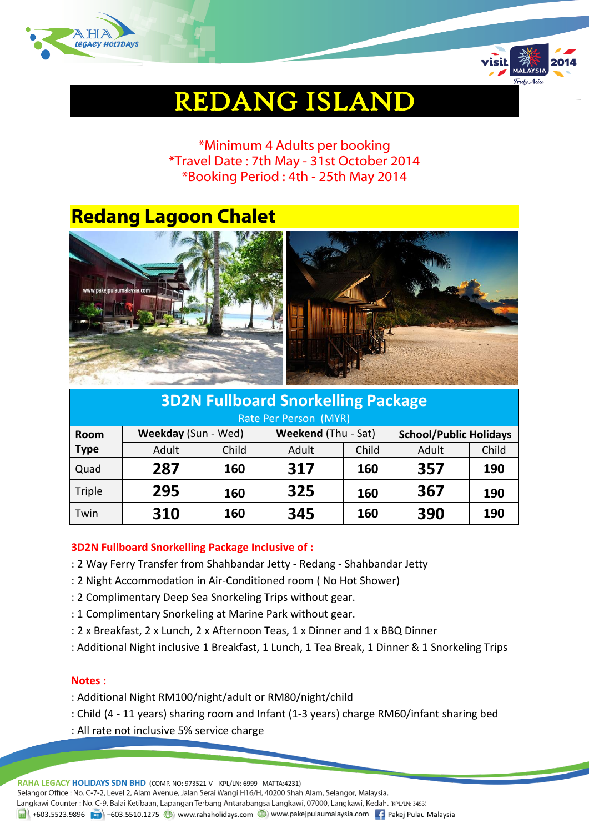



# REDANG ISLAND

\*Minimum 4 Adults per booking \*Travel Date : 7th May - 31st October 2014 \*Booking Period : 4th - 25th May 2014

## **Redang Lagoon Chalet**



| <b>3D2N Fullboard Snorkelling Package</b> |                     |       |                     |       |                               |       |  |
|-------------------------------------------|---------------------|-------|---------------------|-------|-------------------------------|-------|--|
| Rate Per Person (MYR)                     |                     |       |                     |       |                               |       |  |
| Room                                      | Weekday (Sun - Wed) |       | Weekend (Thu - Sat) |       | <b>School/Public Holidays</b> |       |  |
| <b>Type</b>                               | Adult               | Child | Adult               | Child | Adult                         | Child |  |
| Quad                                      | 287                 | 160   | 317                 | 160   | 357                           | 190   |  |
| Triple                                    | 295                 | 160   | 325                 | 160   | 367                           | 190   |  |
| Twin                                      | 310                 | 160   | 345                 | 160   | 390                           | 190   |  |

### **3D2N Fullboard Snorkelling Package Inclusive of :**

- : 2 Way Ferry Transfer from Shahbandar Jetty Redang Shahbandar Jetty
- : 2 Night Accommodation in Air-Conditioned room ( No Hot Shower)
- : 2 Complimentary Deep Sea Snorkeling Trips without gear.
- : 1 Complimentary Snorkeling at Marine Park without gear.
- : 2 x Breakfast, 2 x Lunch, 2 x Afternoon Teas, 1 x Dinner and 1 x BBQ Dinner
- : Additional Night inclusive 1 Breakfast, 1 Lunch, 1 Tea Break, 1 Dinner & 1 Snorkeling Trips

#### **Notes :**

- : Additional Night RM100/night/adult or RM80/night/child
- : Child (4 11 years) sharing room and Infant (1-3 years) charge RM60/infant sharing bed
- : All rate not inclusive 5% service charge

RAHA LEGACY HOLIDAYS SDN BHD (COMP. NO: 973521-V KPL/LN: 6999 MATTA:4231) Selangor Office : No. C-7-2, Level 2, Alam Avenue, Jalan Serai Wangi H16/H, 40200 Shah Alam, Selangor, Malaysia. Langkawi Counter: No. C-9, Balai Ketibaan, Lapangan Terbang Antarabangsa Langkawi, 07000, Langkawi, Kedah. (KPL/LN: 3453) 1988 Fig. 1-603.5523.9896 Fig. 1-603.5510.1275 (D) www.rahaholidays.com (D) www.pakejpulaumalaysia.com Fig. Pakej Pulau Malaysia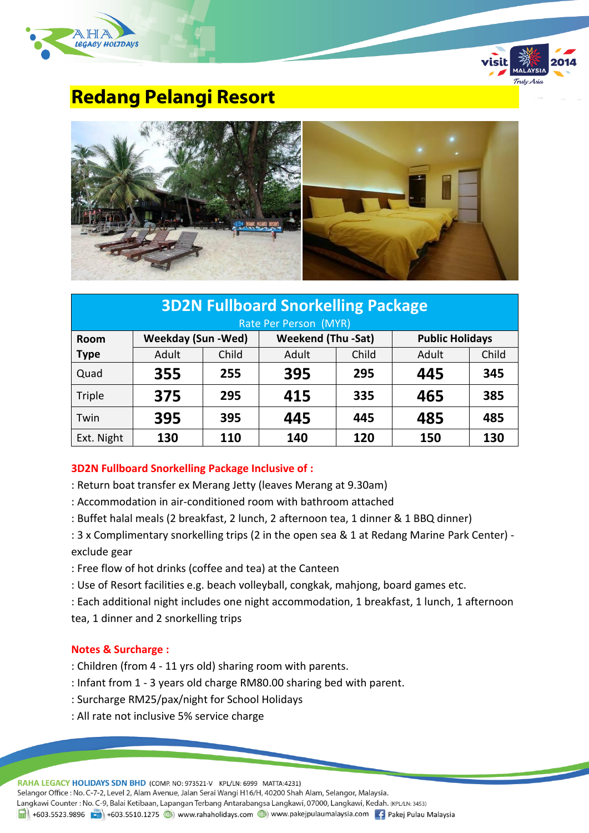



### **Redang Pelangi Resort**



| <b>3D2N Fullboard Snorkelling Package</b> |                           |       |                           |       |                        |       |  |
|-------------------------------------------|---------------------------|-------|---------------------------|-------|------------------------|-------|--|
| Rate Per Person (MYR)                     |                           |       |                           |       |                        |       |  |
| <b>Room</b>                               | <b>Weekday (Sun -Wed)</b> |       | <b>Weekend (Thu -Sat)</b> |       | <b>Public Holidays</b> |       |  |
| <b>Type</b>                               | Adult                     | Child | Adult                     | Child | Adult                  | Child |  |
| Quad                                      | 355                       | 255   | 395                       | 295   | 445                    | 345   |  |
| Triple                                    | 375                       | 295   | 415                       | 335   | 465                    | 385   |  |
| Twin                                      | 395                       | 395   | 445                       | 445   | 485                    | 485   |  |
| Ext. Night                                | 130                       | 110   | 140                       | 120   | 150                    | 130   |  |

### **3D2N Fullboard Snorkelling Package Inclusive of :**

- : Return boat transfer ex Merang Jetty (leaves Merang at 9.30am)
- : Accommodation in air-conditioned room with bathroom attached
- : Buffet halal meals (2 breakfast, 2 lunch, 2 afternoon tea, 1 dinner & 1 BBQ dinner)
- : 3 x Complimentary snorkelling trips (2 in the open sea & 1 at Redang Marine Park Center) exclude gear
- : Free flow of hot drinks (coffee and tea) at the Canteen
- : Use of Resort facilities e.g. beach volleyball, congkak, mahjong, board games etc.
- : Each additional night includes one night accommodation, 1 breakfast, 1 lunch, 1 afternoon tea, 1 dinner and 2 snorkelling trips

### **Notes & Surcharge :**

- : Children (from 4 11 yrs old) sharing room with parents.
- : Infant from 1 3 years old charge RM80.00 sharing bed with parent.
- : Surcharge RM25/pax/night for School Holidays
- : All rate not inclusive 5% service charge

RAHA LEGACY HOLIDAYS SDN BHD (COMP. NO: 973521-V KPL/LN: 6999 MATTA:4231)

Selangor Office: No. C-7-2, Level 2, Alam Avenue, Jalan Serai Wangi H16/H, 40200 Shah Alam, Selangor, Malaysia.

Langkawi Counter: No. C-9, Balai Ketibaan, Lapangan Terbang Antarabangsa Langkawi, 07000, Langkawi, Kedah. (KPL/LN: 3453)

1988 Fig. 1-603.5523.9896 Fig. 1-603.5510.1275 (D) www.rahaholidays.com (D) www.pakejpulaumalaysia.com Fig. Pakej Pulau Malaysia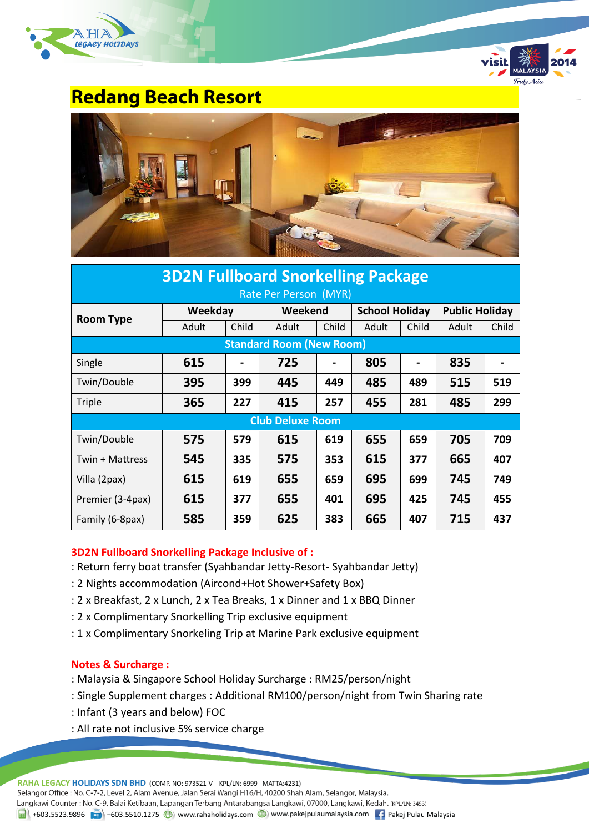



### **Redang Beach Resort**



| <b>3D2N Fullboard Snorkelling Package</b> |         |       |                                 |       |                       |       |                       |       |
|-------------------------------------------|---------|-------|---------------------------------|-------|-----------------------|-------|-----------------------|-------|
| Rate Per Person (MYR)                     |         |       |                                 |       |                       |       |                       |       |
| <b>Room Type</b>                          | Weekday |       | Weekend                         |       | <b>School Holiday</b> |       | <b>Public Holiday</b> |       |
|                                           | Adult   | Child | Adult                           | Child | Adult                 | Child | Adult                 | Child |
|                                           |         |       | <b>Standard Room (New Room)</b> |       |                       |       |                       |       |
| Single                                    | 615     |       | 725                             |       | 805                   |       | 835                   |       |
| Twin/Double                               | 395     | 399   | 445                             | 449   | 485                   | 489   | 515                   | 519   |
| Triple                                    | 365     | 227   | 415                             | 257   | 455                   | 281   | 485                   | 299   |
| <b>Club Deluxe Room</b>                   |         |       |                                 |       |                       |       |                       |       |
| Twin/Double                               | 575     | 579   | 615                             | 619   | 655                   | 659   | 705                   | 709   |
| Twin + Mattress                           | 545     | 335   | 575                             | 353   | 615                   | 377   | 665                   | 407   |
| Villa (2pax)                              | 615     | 619   | 655                             | 659   | 695                   | 699   | 745                   | 749   |
| Premier (3-4pax)                          | 615     | 377   | 655                             | 401   | 695                   | 425   | 745                   | 455   |
| Family (6-8pax)                           | 585     | 359   | 625                             | 383   | 665                   | 407   | 715                   | 437   |

### **3D2N Fullboard Snorkelling Package Inclusive of :**

- : Return ferry boat transfer (Syahbandar Jetty-Resort- Syahbandar Jetty)
- : 2 Nights accommodation (Aircond+Hot Shower+Safety Box)
- : 2 x Breakfast, 2 x Lunch, 2 x Tea Breaks, 1 x Dinner and 1 x BBQ Dinner
- : 2 x Complimentary Snorkelling Trip exclusive equipment
- : 1 x Complimentary Snorkeling Trip at Marine Park exclusive equipment

### **Notes & Surcharge :**

- : Malaysia & Singapore School Holiday Surcharge : RM25/person/night
- : Single Supplement charges : Additional RM100/person/night from Twin Sharing rate
- : Infant (3 years and below) FOC
- : All rate not inclusive 5% service charge

RAHA LEGACY HOLIDAYS SDN BHD (COMP. NO: 973521-V KPL/LN: 6999 MATTA:4231)

Selangor Office : No. C-7-2, Level 2, Alam Avenue, Jalan Serai Wangi H16/H, 40200 Shah Alam, Selangor, Malaysia.

Langkawi Counter : No. C-9, Balai Ketibaan, Lapangan Terbang Antarabangsa Langkawi, 07000, Langkawi, Kedah. (KPL/LN: 3453)

1988 +603.5523.9896 + +603.5510.1275 + +603.5510.1275 + +603.5510.1275 + +603.5510.1275 + +603.5510.1275 + +603.5510.1275 + +603.5510.1275 + +603.5510.1275 + +603.5510.1275 + +603.5510.1275 + +603.5510.1275 + +603.5510.127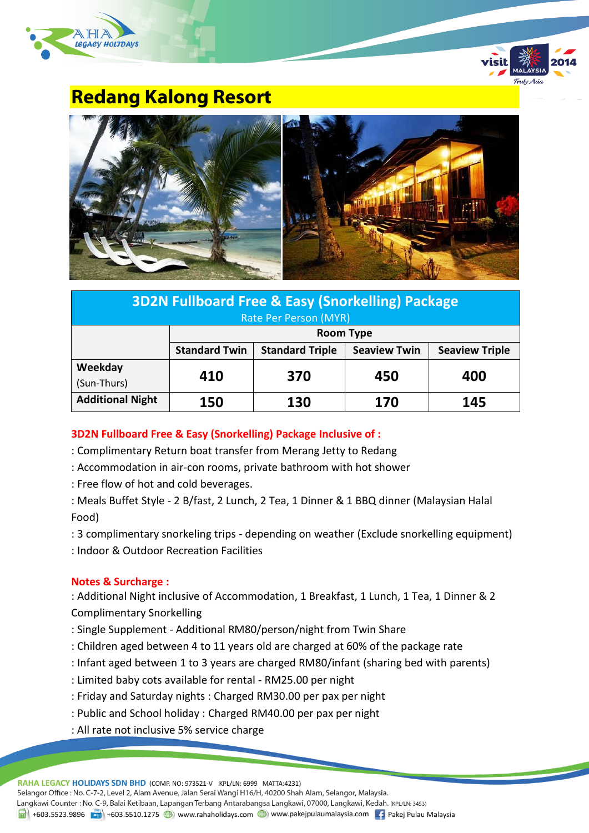



### **Redang Kalong Resort**



| <b>3D2N Fullboard Free &amp; Easy (Snorkelling) Package</b> |                      |                        |                     |                       |  |  |
|-------------------------------------------------------------|----------------------|------------------------|---------------------|-----------------------|--|--|
| Rate Per Person (MYR)                                       |                      |                        |                     |                       |  |  |
|                                                             | <b>Room Type</b>     |                        |                     |                       |  |  |
|                                                             | <b>Standard Twin</b> | <b>Standard Triple</b> | <b>Seaview Twin</b> | <b>Seaview Triple</b> |  |  |
| Weekday                                                     |                      |                        |                     |                       |  |  |
| (Sun-Thurs)                                                 | 410                  | 370                    | 450                 | 400                   |  |  |
| <b>Additional Night</b>                                     | 150                  | 130                    | 170                 | 145                   |  |  |

**3D2N Fullboard Free & Easy (Snorkelling) Package Inclusive of :**

- : Complimentary Return boat transfer from Merang Jetty to Redang
- : Accommodation in air-con rooms, private bathroom with hot shower
- : Free flow of hot and cold beverages.
- : Meals Buffet Style 2 B/fast, 2 Lunch, 2 Tea, 1 Dinner & 1 BBQ dinner (Malaysian Halal Food)
- : 3 complimentary snorkeling trips depending on weather (Exclude snorkelling equipment)
- : Indoor & Outdoor Recreation Facilities

### **Notes & Surcharge :**

: Additional Night inclusive of Accommodation, 1 Breakfast, 1 Lunch, 1 Tea, 1 Dinner & 2 Complimentary Snorkelling

- : Single Supplement Additional RM80/person/night from Twin Share
- : Children aged between 4 to 11 years old are charged at 60% of the package rate
- : Infant aged between 1 to 3 years are charged RM80/infant (sharing bed with parents)
- : Limited baby cots available for rental RM25.00 per night
- : Friday and Saturday nights : Charged RM30.00 per pax per night
- : Public and School holiday : Charged RM40.00 per pax per night
- : All rate not inclusive 5% service charge

RAHA LEGACY HOLIDAYS SDN BHD (COMP. NO: 973521-V KPL/LN: 6999 MATTA:4231) Selangor Office : No. C-7-2, Level 2, Alam Avenue, Jalan Serai Wangi H16/H, 40200 Shah Alam, Selangor, Malaysia. Langkawi Counter: No. C-9, Balai Ketibaan, Lapangan Terbang Antarabangsa Langkawi, 07000, Langkawi, Kedah. (KPL/LN: 3453) 1988 Fig. 1-603.5523.9896 Fig. 1-603.5510.1275 (D) www.rahaholidays.com (D) www.pakejpulaumalaysia.com Fig. Pakej Pulau Malaysia